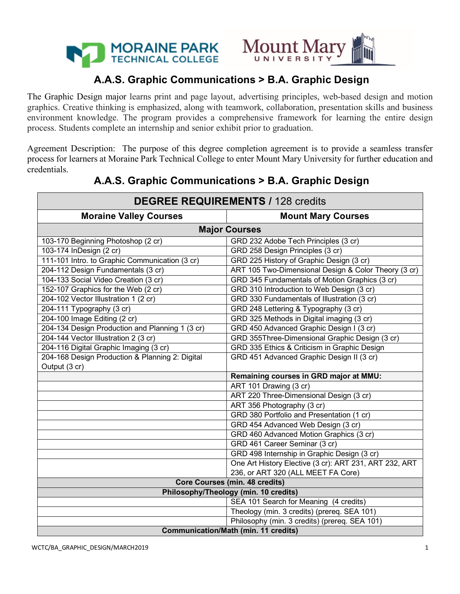



## **A.A.S. Graphic Communications > B.A. Graphic Design**

The Graphic Design major learns print and page layout, advertising principles, web-based design and motion graphics. Creative thinking is emphasized, along with teamwork, collaboration, presentation skills and business environment knowledge. The program provides a comprehensive framework for learning the entire design process. Students complete an internship and senior exhibit prior to graduation.

Agreement Description: The purpose of this degree completion agreement is to provide a seamless transfer process for learners at Moraine Park Technical College to enter Mount Mary University for further education and credentials.

| <b>DEGREE REQUIREMENTS / 128 credits</b>        |                                                        |  |
|-------------------------------------------------|--------------------------------------------------------|--|
| <b>Moraine Valley Courses</b>                   | <b>Mount Mary Courses</b>                              |  |
| <b>Major Courses</b>                            |                                                        |  |
| 103-170 Beginning Photoshop (2 cr)              | GRD 232 Adobe Tech Principles (3 cr)                   |  |
| 103-174 InDesign (2 cr)                         | GRD 258 Design Principles (3 cr)                       |  |
| 111-101 Intro. to Graphic Communication (3 cr)  | GRD 225 History of Graphic Design (3 cr)               |  |
| 204-112 Design Fundamentals (3 cr)              | ART 105 Two-Dimensional Design & Color Theory (3 cr)   |  |
| 104-133 Social Video Creation (3 cr)            | GRD 345 Fundamentals of Motion Graphics (3 cr)         |  |
| 152-107 Graphics for the Web (2 cr)             | GRD 310 Introduction to Web Design (3 cr)              |  |
| 204-102 Vector Illustration 1 (2 cr)            | GRD 330 Fundamentals of Illustration (3 cr)            |  |
| 204-111 Typography (3 cr)                       | GRD 248 Lettering & Typography (3 cr)                  |  |
| 204-100 Image Editing (2 cr)                    | GRD 325 Methods in Digital imaging (3 cr)              |  |
| 204-134 Design Production and Planning 1 (3 cr) | GRD 450 Advanced Graphic Design I (3 cr)               |  |
| 204-144 Vector Illustration 2 (3 cr)            | GRD 355Three-Dimensional Graphic Design (3 cr)         |  |
| 204-116 Digital Graphic Imaging (3 cr)          | GRD 335 Ethics & Criticism in Graphic Design           |  |
| 204-168 Design Production & Planning 2: Digital | GRD 451 Advanced Graphic Design II (3 cr)              |  |
| Output (3 cr)                                   |                                                        |  |
|                                                 | Remaining courses in GRD major at MMU:                 |  |
|                                                 | ART 101 Drawing (3 cr)                                 |  |
|                                                 | ART 220 Three-Dimensional Design (3 cr)                |  |
|                                                 | ART 356 Photography (3 cr)                             |  |
|                                                 | GRD 380 Portfolio and Presentation (1 cr)              |  |
|                                                 | GRD 454 Advanced Web Design (3 cr)                     |  |
|                                                 | GRD 460 Advanced Motion Graphics (3 cr)                |  |
|                                                 | GRD 461 Career Seminar (3 cr)                          |  |
|                                                 | GRD 498 Internship in Graphic Design (3 cr)            |  |
|                                                 | One Art History Elective (3 cr): ART 231, ART 232, ART |  |
|                                                 | 236, or ART 320 (ALL MEET FA Core)                     |  |
|                                                 | <b>Core Courses (min. 48 credits)</b>                  |  |
| Philosophy/Theology (min. 10 credits)           |                                                        |  |
|                                                 | SEA 101 Search for Meaning (4 credits)                 |  |
|                                                 | Theology (min. 3 credits) (prereq. SEA 101)            |  |
|                                                 | Philosophy (min. 3 credits) (prereq. SEA 101)          |  |
| <b>Communication/Math (min. 11 credits)</b>     |                                                        |  |

# **A.A.S. Graphic Communications > B.A. Graphic Design**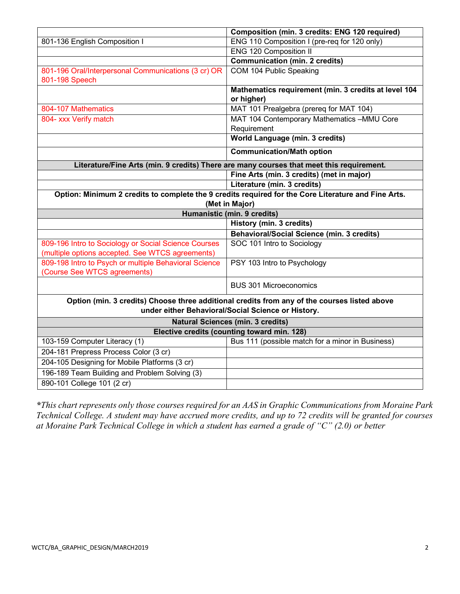|                                                                                                                       | Composition (min. 3 credits: ENG 120 required)                                                                                                     |
|-----------------------------------------------------------------------------------------------------------------------|----------------------------------------------------------------------------------------------------------------------------------------------------|
| 801-136 English Composition I                                                                                         | ENG 110 Composition I (pre-req for 120 only)                                                                                                       |
|                                                                                                                       | <b>ENG 120 Composition II</b>                                                                                                                      |
|                                                                                                                       | <b>Communication (min. 2 credits)</b>                                                                                                              |
| 801-196 Oral/Interpersonal Communications (3 cr) OR                                                                   | COM 104 Public Speaking                                                                                                                            |
| 801-198 Speech                                                                                                        |                                                                                                                                                    |
|                                                                                                                       | Mathematics requirement (min. 3 credits at level 104<br>or higher)                                                                                 |
| 804-107 Mathematics                                                                                                   | MAT 101 Prealgebra (prereq for MAT 104)                                                                                                            |
| 804- xxx Verify match                                                                                                 | MAT 104 Contemporary Mathematics -MMU Core<br>Requirement                                                                                          |
|                                                                                                                       | World Language (min. 3 credits)                                                                                                                    |
|                                                                                                                       | <b>Communication/Math option</b>                                                                                                                   |
| Literature/Fine Arts (min. 9 credits) There are many courses that meet this requirement.                              |                                                                                                                                                    |
|                                                                                                                       | Fine Arts (min. 3 credits) (met in major)                                                                                                          |
|                                                                                                                       | Literature (min. 3 credits)                                                                                                                        |
| Option: Minimum 2 credits to complete the 9 credits required for the Core Literature and Fine Arts.<br>(Met in Major) |                                                                                                                                                    |
| Humanistic (min. 9 credits)                                                                                           |                                                                                                                                                    |
|                                                                                                                       |                                                                                                                                                    |
|                                                                                                                       |                                                                                                                                                    |
|                                                                                                                       | History (min. 3 credits)                                                                                                                           |
| 809-196 Intro to Sociology or Social Science Courses                                                                  | Behavioral/Social Science (min. 3 credits)<br>SOC 101 Intro to Sociology                                                                           |
| (multiple options accepted. See WTCS agreements)<br>809-198 Intro to Psych or multiple Behavioral Science             | PSY 103 Intro to Psychology                                                                                                                        |
| (Course See WTCS agreements)                                                                                          | <b>BUS 301 Microeconomics</b>                                                                                                                      |
|                                                                                                                       | Option (min. 3 credits) Choose three additional credits from any of the courses listed above<br>under either Behavioral/Social Science or History. |
|                                                                                                                       | <b>Natural Sciences (min. 3 credits)</b>                                                                                                           |
|                                                                                                                       | Elective credits (counting toward min. 128)                                                                                                        |
| 103-159 Computer Literacy (1)                                                                                         | Bus 111 (possible match for a minor in Business)                                                                                                   |
| 204-181 Prepress Process Color (3 cr)                                                                                 |                                                                                                                                                    |
| 204-105 Designing for Mobile Platforms (3 cr)                                                                         |                                                                                                                                                    |
| 196-189 Team Building and Problem Solving (3)<br>890-101 College 101 (2 cr)                                           |                                                                                                                                                    |

*\*This chart represents only those courses required for an AAS in Graphic Communications from Moraine Park Technical College. A student may have accrued more credits, and up to 72 credits will be granted for courses at Moraine Park Technical College in which a student has earned a grade of "C" (2.0) or better*